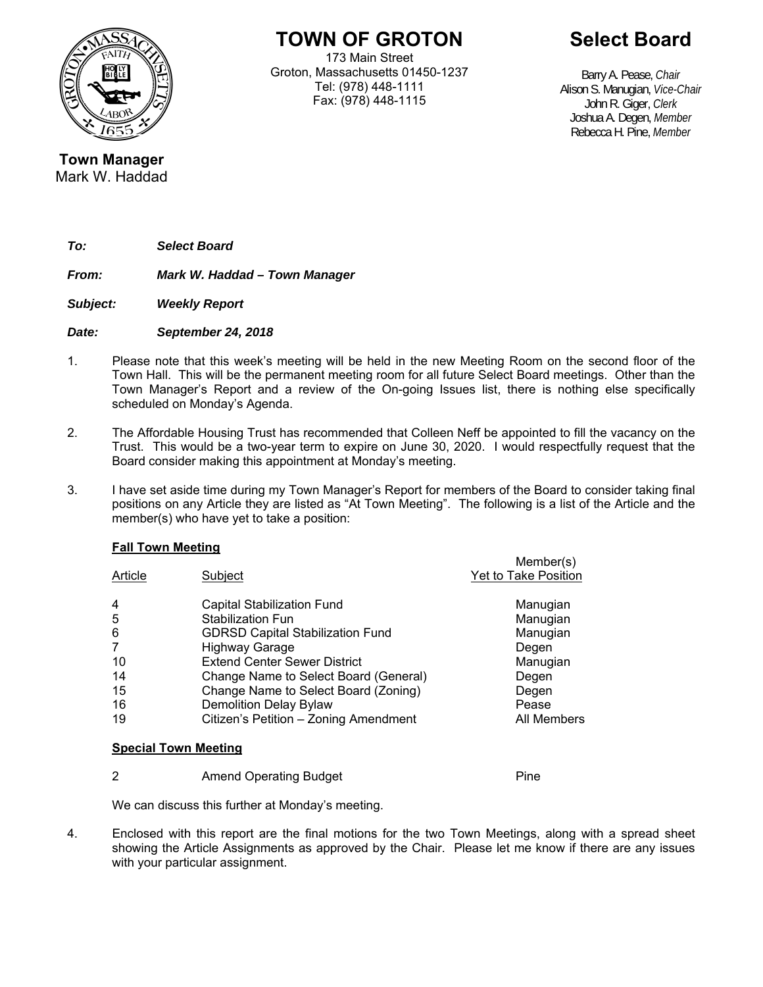

**TOWN OF GROTON** 

173 Main Street Groton, Massachusetts 01450-1237 Tel: (978) 448-1111 Fax: (978) 448-1115

**Select Board** 

Barry A. Pease, *Chair*  Alison S. Manugian, *Vice-Chair*  John R. Giger, *Clerk* Joshua A. Degen, *Member* Rebecca H. Pine, *Member* 

**Town Manager**  Mark W. Haddad

*To: Select Board* 

*From: Mark W. Haddad – Town Manager* 

*Subject: Weekly Report* 

*Date: September 24, 2018* 

- 1. Please note that this week's meeting will be held in the new Meeting Room on the second floor of the Town Hall. This will be the permanent meeting room for all future Select Board meetings. Other than the Town Manager's Report and a review of the On-going Issues list, there is nothing else specifically scheduled on Monday's Agenda.
- 2. The Affordable Housing Trust has recommended that Colleen Neff be appointed to fill the vacancy on the Trust. This would be a two-year term to expire on June 30, 2020. I would respectfully request that the Board consider making this appointment at Monday's meeting.
- 3. I have set aside time during my Town Manager's Report for members of the Board to consider taking final positions on any Article they are listed as "At Town Meeting". The following is a list of the Article and the member(s) who have yet to take a position:

## **Fall Town Meeting**

| Article        | Subject                                 | Member(s)<br>Yet to Take Position |
|----------------|-----------------------------------------|-----------------------------------|
| $\overline{4}$ | <b>Capital Stabilization Fund</b>       | Manugian                          |
| 5              | Stabilization Fun                       | Manugian                          |
| 6              | <b>GDRSD Capital Stabilization Fund</b> | Manugian                          |
| 7              | <b>Highway Garage</b>                   | Degen                             |
| 10             | <b>Extend Center Sewer District</b>     | Manugian                          |
| 14             | Change Name to Select Board (General)   | Degen                             |
| 15             | Change Name to Select Board (Zoning)    | Degen                             |
| 16             | <b>Demolition Delay Bylaw</b>           | Pease                             |
| 19             | Citizen's Petition - Zoning Amendment   | All Members                       |
|                |                                         |                                   |

## **Special Town Meeting**

2 **Amend Operating Budget Pine** 

We can discuss this further at Monday's meeting.

4. Enclosed with this report are the final motions for the two Town Meetings, along with a spread sheet showing the Article Assignments as approved by the Chair. Please let me know if there are any issues with your particular assignment.